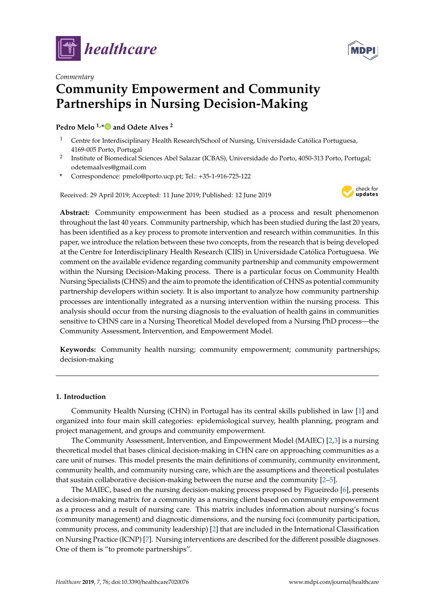



# *Commentary* **Community Empowerment and Community Partnerships in Nursing Decision-Making**

**Pedro Melo 1,[\\*](https://orcid.org/0000-0002-0005-6384) and Odete Alves <sup>2</sup>**

- <sup>1</sup> Centre for Interdisciplinary Health Research/School of Nursing, Universidade Católica Portuguesa, 4169-005 Porto, Portugal
- 2 Institute of Biomedical Sciences Abel Salazar (ICBAS), Universidade do Porto, 4050-313 Porto, Portugal; odetemaalves@gmail.com
- **\*** Correspondence: pmelo@porto.ucp.pt; Tel.: +35-1-916-725-122

Received: 29 April 2019; Accepted: 11 June 2019; Published: 12 June 2019



**Abstract:** Community empowerment has been studied as a process and result phenomenon throughout the last 40 years. Community partnership, which has been studied during the last 20 years, has been identified as a key process to promote intervention and research within communities. In this paper, we introduce the relation between these two concepts, from the research that is being developed at the Centre for Interdisciplinary Health Research (CIIS) in Universidade Católica Portuguesa. We comment on the available evidence regarding community partnership and community empowerment within the Nursing Decision-Making process. There is a particular focus on Community Health Nursing Specialists (CHNS) and the aim to promote the identification of CHNS as potential community partnership developers within society. It is also important to analyze how community partnership processes are intentionally integrated as a nursing intervention within the nursing process. This analysis should occur from the nursing diagnosis to the evaluation of health gains in communities sensitive to CHNS care in a Nursing Theoretical Model developed from a Nursing PhD process—the Community Assessment, Intervention, and Empowerment Model.

**Keywords:** Community health nursing; community empowerment; community partnerships; decision-making

## **1. Introduction**

Community Health Nursing (CHN) in Portugal has its central skills published in law [\[1\]](#page-5-0) and organized into four main skill categories: epidemiological survey, health planning, program and project management, and groups and community empowerment.

The Community Assessment, Intervention, and Empowerment Model (MAIEC) [\[2](#page-5-1)[,3\]](#page-5-2) is a nursing theoretical model that bases clinical decision-making in CHN care on approaching communities as a care unit of nurses. This model presents the main definitions of community, community environment, community health, and community nursing care, which are the assumptions and theoretical postulates that sustain collaborative decision-making between the nurse and the community [\[2](#page-5-1)[–5\]](#page-5-3).

The MAIEC, based on the nursing decision-making process proposed by Figueiredo [\[6\]](#page-5-4), presents a decision-making matrix for a community as a nursing client based on community empowerment as a process and a result of nursing care. This matrix includes information about nursing's focus (community management) and diagnostic dimensions, and the nursing foci (community participation, community process, and community leadership) [\[2\]](#page-5-1) that are included in the International Classification on Nursing Practice (ICNP) [\[7\]](#page-5-5). Nursing interventions are described for the different possible diagnoses. One of them is "to promote partnerships".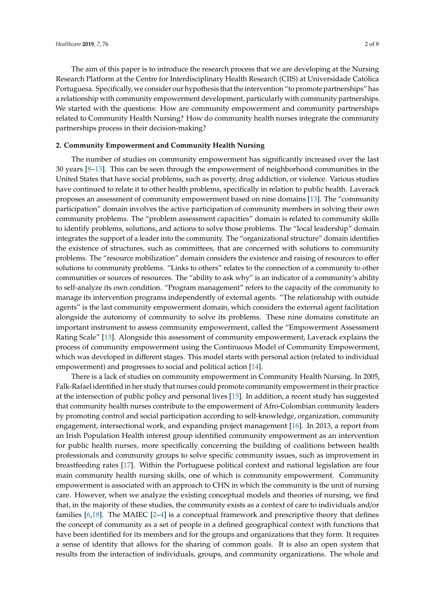The aim of this paper is to introduce the research process that we are developing at the Nursing Research Platform at the Centre for Interdisciplinary Health Research (CIIS) at Universidade Católica Portuguesa. Specifically, we consider our hypothesis that the intervention "to promote partnerships" has a relationship with community empowerment development, particularly with community partnerships. We started with the questions: How are community empowerment and community partnerships related to Community Health Nursing? How do community health nurses integrate the community partnerships process in their decision-making?

### **2. Community Empowerment and Community Health Nursing**

The number of studies on community empowerment has significantly increased over the last 30 years [\[8–](#page-6-0)[13\]](#page-6-1). This can be seen through the empowerment of neighborhood communities in the United States that have social problems, such as poverty, drug addiction, or violence. Various studies have continued to relate it to other health problems, specifically in relation to public health. Laverack proposes an assessment of community empowerment based on nine domains [\[13\]](#page-6-1). The "community participation" domain involves the active participation of community members in solving their own community problems. The "problem assessment capacities" domain is related to community skills to identify problems, solutions, and actions to solve those problems. The "local leadership" domain integrates the support of a leader into the community. The "organizational structure" domain identifies the existence of structures, such as committees, that are concerned with solutions to community problems. The "resource mobilization" domain considers the existence and raising of resources to offer solutions to community problems. "Links to others" relates to the connection of a community to other communities or sources of resources. The "ability to ask why" is an indicator of a community's ability to self-analyze its own condition. "Program management" refers to the capacity of the community to manage its intervention programs independently of external agents. "The relationship with outside agents" is the last community empowerment domain, which considers the external agent facilitation alongside the autonomy of community to solve its problems. These nine domains constitute an important instrument to assess community empowerment, called the "Empowerment Assessment Rating Scale" [\[13\]](#page-6-1). Alongside this assessment of community empowerment, Laverack explains the process of community empowerment using the Continuous Model of Community Empowerment, which was developed in different stages. This model starts with personal action (related to individual empowerment) and progresses to social and political action [\[14\]](#page-6-2).

There is a lack of studies on community empowerment in Community Health Nursing. In 2005, Falk-Rafael identified in her study that nurses could promote community empowerment in their practice at the intersection of public policy and personal lives [\[15\]](#page-6-3). In addition, a recent study has suggested that community health nurses contribute to the empowerment of Afro-Colombian community leaders by promoting control and social participation according to self-knowledge, organization, community engagement, intersectional work, and expanding project management [\[16\]](#page-6-4). In 2013, a report from an Irish Population Health interest group identified community empowerment as an intervention for public health nurses, more specifically concerning the building of coalitions between health professionals and community groups to solve specific community issues, such as improvement in breastfeeding rates [\[17\]](#page-6-5). Within the Portuguese political context and national legislation are four main community health nursing skills, one of which is community empowerment. Community empowerment is associated with an approach to CHN in which the community is the unit of nursing care. However, when we analyze the existing conceptual models and theories of nursing, we find that, in the majority of these studies, the community exists as a context of care to individuals and/or families [\[6,](#page-5-4)[18\]](#page-6-6). The MAIEC [\[2](#page-5-1)[–4\]](#page-5-6) is a conceptual framework and prescriptive theory that defines the concept of community as a set of people in a defined geographical context with functions that have been identified for its members and for the groups and organizations that they form. It requires a sense of identity that allows for the sharing of common goals. It is also an open system that results from the interaction of individuals, groups, and community organizations. The whole and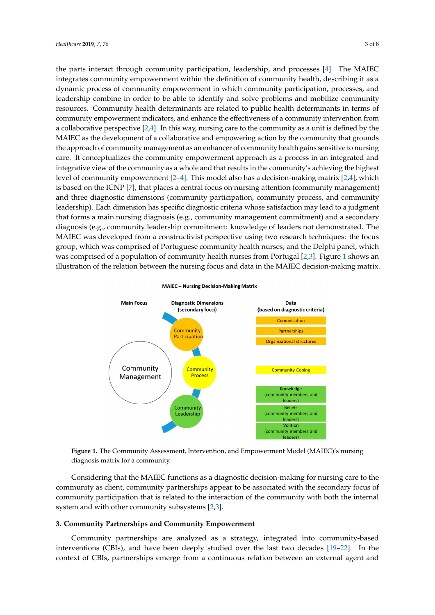the parts interact through community participation, leadership, and processes [\[4\]](#page-5-6). The MAIEC integrates community empowerment within the definition of community health, describing it as a dynamic process of community empowerment in which community participation, processes, and leadership combine in order to be able to identify and solve problems and mobilize community resources. Community health determinants are related to public health determinants in terms of community empowerment indicators, and enhance the effectiveness of a community intervention from a collaborative perspective  $[2,4]$  $[2,4]$ . In this way, nursing care to the community as a unit is defined by the MAIEC as the development of a collaborative and empowering action by the community that grounds the approach of community management as an enhancer of community health gains sensitive to nursing care. It conceptualizes the community empowerment approach as a process in an integrated and integrative view of the community as a whole and that results in the community's achieving the highest level of community empowerment  $[2-4]$  $[2-4]$ . This model also has a decision-making matrix  $[2,4]$  $[2,4]$ , which is based on the ICNP [\[7\]](#page-5-5), that places a central focus on nursing attention (community management) and three diagnostic dimensions (community participation, community process, and community leadership). Each dimension has specific diagnostic criteria whose satisfaction may lead to a judgment that forms a main nursing diagnosis (e.g., community management commitment) and a secondary diagnosis (e.g., community leadership commitment: knowledge of leaders not demonstrated. The MAIEC was developed from a constructivist perspective using two research techniques: the focus group, which was comprised of Portuguese community health nurses, and the Delphi panel, which was comprised of a population of community heal[th](#page-2-0) nurses from Portugal  $[2,3]$  $[2,3]$ . Figure 1 shows an illustration of the relation between the nursing focus and data in the MAIEC decision-making matrix.

<span id="page-2-0"></span>

#### **MAIEC - Nursing Decision-Making Matrix**

**Figure 1.** The Community Assessment, Intervention, and Empowerment Model (MAIEC)'s nursing **Figure 1.** The Community Assessment, Intervention, and Empowerment Model (MAIEC)'s nursing diagnosis matrix for a community. diagnosis matrix for a community.

Considering that the MAIEC functions as a diagnostic decision-making for nursing care to the Considering that the MAIEC functions as a diagnostic decision-making for nursing care to the community as client, community partnerships appear to be associated with the secondary focus of community as client, community partnerships appear to be associated with the secondary focus of community participation that is related to the interaction of the community with both the internal community participation that is related to the interaction of the community with both the internal system and with other community subsystems [2,3]. system and with other community subsystems [\[2,](#page-5-1)[3\]](#page-5-2).

## **3. Community Partnerships and Community Empowerment 3. Community Partnerships and Community Empowerment**

Community partnerships are analyzed as a strategy, integrated into community-based interventions (CBIs), and have been deeply studied over the last two decades [\[19–](#page-6-7)[22\]](#page-6-8). In the interventions (CBIs), and have been deeply studied over the last two decades [19–22]. In the context context of CBIs, partnerships emerge from a continuous relation between an external agent and Community partnerships are analyzed as a strategy, integrated into community-based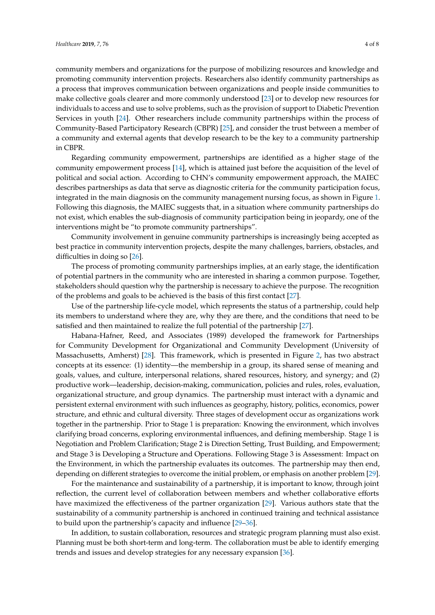community members and organizations for the purpose of mobilizing resources and knowledge and promoting community intervention projects. Researchers also identify community partnerships as a process that improves communication between organizations and people inside communities to make collective goals clearer and more commonly understood [\[23\]](#page-6-9) or to develop new resources for individuals to access and use to solve problems, such as the provision of support to Diabetic Prevention Services in youth [\[24\]](#page-6-10). Other researchers include community partnerships within the process of Community-Based Participatory Research (CBPR) [\[25\]](#page-6-11), and consider the trust between a member of a community and external agents that develop research to be the key to a community partnership in CBPR.

Regarding community empowerment, partnerships are identified as a higher stage of the community empowerment process [\[14\]](#page-6-2), which is attained just before the acquisition of the level of political and social action. According to CHN's community empowerment approach, the MAIEC describes partnerships as data that serve as diagnostic criteria for the community participation focus, integrated in the main diagnosis on the community management nursing focus, as shown in Figure [1.](#page-2-0) Following this diagnosis, the MAIEC suggests that, in a situation where community partnerships do not exist, which enables the sub-diagnosis of community participation being in jeopardy, one of the interventions might be "to promote community partnerships".

Community involvement in genuine community partnerships is increasingly being accepted as best practice in community intervention projects, despite the many challenges, barriers, obstacles, and difficulties in doing so [\[26\]](#page-6-12).

The process of promoting community partnerships implies, at an early stage, the identification of potential partners in the community who are interested in sharing a common purpose. Together, stakeholders should question why the partnership is necessary to achieve the purpose. The recognition of the problems and goals to be achieved is the basis of this first contact [\[27\]](#page-6-13).

Use of the partnership life-cycle model, which represents the status of a partnership, could help its members to understand where they are, why they are there, and the conditions that need to be satisfied and then maintained to realize the full potential of the partnership [\[27\]](#page-6-13).

Habana-Hafner, Reed, and Associates (1989) developed the framework for Partnerships for Community Development for Organizational and Community Development (University of Massachusetts, Amherst) [\[28\]](#page-6-14). This framework, which is presented in Figure [2,](#page-4-0) has two abstract concepts at its essence: (1) identity—the membership in a group, its shared sense of meaning and goals, values, and culture, interpersonal relations, shared resources, history, and synergy; and (2) productive work—leadership, decision-making, communication, policies and rules, roles, evaluation, organizational structure, and group dynamics. The partnership must interact with a dynamic and persistent external environment with such influences as geography, history, politics, economics, power structure, and ethnic and cultural diversity. Three stages of development occur as organizations work together in the partnership. Prior to Stage 1 is preparation: Knowing the environment, which involves clarifying broad concerns, exploring environmental influences, and defining membership. Stage 1 is Negotiation and Problem Clarification; Stage 2 is Direction Setting, Trust Building, and Empowerment; and Stage 3 is Developing a Structure and Operations. Following Stage 3 is Assessment: Impact on the Environment, in which the partnership evaluates its outcomes. The partnership may then end, depending on different strategies to overcome the initial problem, or emphasis on another problem [\[29\]](#page-6-15).

For the maintenance and sustainability of a partnership, it is important to know, through joint reflection, the current level of collaboration between members and whether collaborative efforts have maximized the effectiveness of the partner organization [\[29\]](#page-6-15). Various authors state that the sustainability of a community partnership is anchored in continued training and technical assistance to build upon the partnership's capacity and influence [\[29](#page-6-15)[–36\]](#page-7-0).

In addition, to sustain collaboration, resources and strategic program planning must also exist. Planning must be both short-term and long-term. The collaboration must be able to identify emerging trends and issues and develop strategies for any necessary expansion [\[36\]](#page-7-0).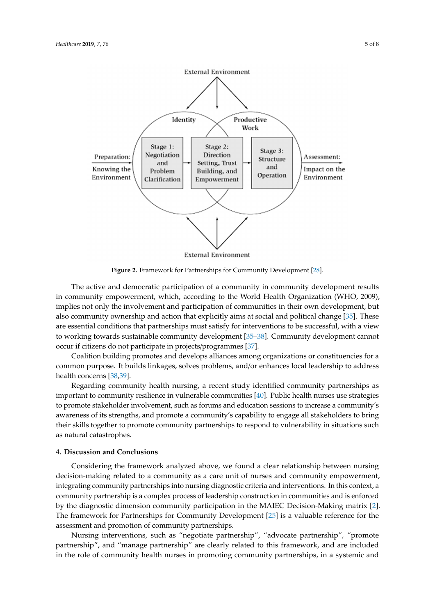<span id="page-4-0"></span>

**Figure 2.** Framework for Partnerships for Community Development [28]. **Figure 2.** Framework for Partnerships for Community Development [\[28\]](#page-6-14).

The active and democratic participation of a community in community development results in in community empowerment, which, according to the World Health Organization (WHO, 2009), In community empowerment, which, according to the World Health Organization (WHO, 2009), implies not only the involvement and participation of communities in their own development, but mights not only the involvement and participation of communities in their own development, but also community ownership and action that explicitly aims at social and political change [\[35\]](#page-7-1). These also community ownership and action that explicitly aims at social and political change [35]. These are essential conditions that partnerships must satisfy for interventions to be successful, with a view are essential conditions that partnerships must satisfy for interventions to be successful, with a view to working towards sustainable community development [35–38]. Community development cannot to working towards sustainable community development [\[35](#page-7-1)[–38\]](#page-7-2). Community development cannot The active and democratic participation of a community in community development results occur if citizens do not participate in projects/programmes [\[37\]](#page-7-3).

occur if citizens do not participate in projects/programmes [37]. Coalition building promotes and develops alliances among organizations or constituencies for a Coalition building promotes and develops alliances among organizations or constituencies for a common purpose. It builds linkages, solves problems, and/or enhances local leadership to address common purpose. It builds linkages, solves problems, and/or enhances local leadership to address health concerns [38,39]. health concerns [\[38,](#page-7-2)[39\]](#page-7-4).

Regarding community health nursing, a recent study identified community partnerships as Regarding community health nursing, a recent study identified community partnerships as important to community resilience in vulnerable communities [\[40\]](#page-7-5). Public health nurses use strategies in vertical transmitters of the community resilience in vertical transmitters of the community results of the community to promote stakeholder involvement, such as forums and education sessions to increase a community's<br>to promote stakeholder involvement, such as forums and education sessions to increase a community's awareness of its strengths, and promote a community's capability to engage all stakeholders to bring<br> their skills together to promote community partnerships to respond to vulnerability in situations such as natural catastrophes.

## **4. Discussion and Conclusions**

decision-making related to a community as a care unit of nurses and community empowerment, integrating community partnerships into nursing diagnostic criteria and interventions. In this context, a community partnership is a complex process of leadership construction in communities and is enforced by the diagnostic dimension community participation in the MAIEC Decision-Making matrix [\[2\]](#page-5-1). The framework for Partnerships for Community Development [\[25\]](#page-6-11) is a valuable reference for the assessment and promotion of community partnerships. Considering the framework analyzed above, we found a clear relationship between nursing

Nursing interventions, such as "negotiate partnership", "advocate partnership", "promote partnership", and "manage partnership" are clearly related to this framework, and are included  $p_{\text{min}}$ , and a community health purses in promoting community partnerships, in a systemic and are in the relationships of the role of community health nurses in promoting community partnerships, in a systemic and in the role of community health nurses in promoting community partnerships, in a systemic and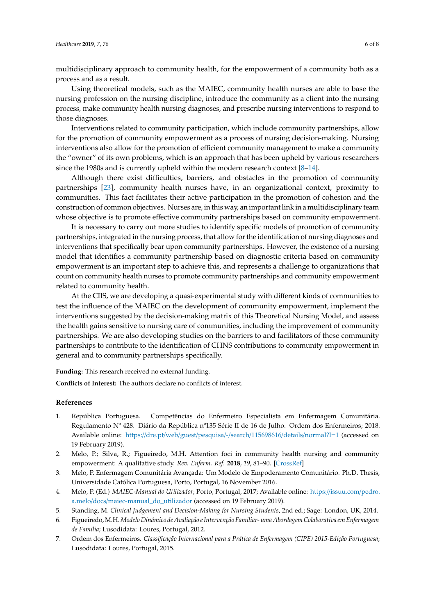multidisciplinary approach to community health, for the empowerment of a community both as a process and as a result.

Using theoretical models, such as the MAIEC, community health nurses are able to base the nursing profession on the nursing discipline, introduce the community as a client into the nursing process, make community health nursing diagnoses, and prescribe nursing interventions to respond to those diagnoses.

Interventions related to community participation, which include community partnerships, allow for the promotion of community empowerment as a process of nursing decision-making. Nursing interventions also allow for the promotion of efficient community management to make a community the "owner" of its own problems, which is an approach that has been upheld by various researchers since the 1980s and is currently upheld within the modern research context [\[8–](#page-6-0)[14\]](#page-6-2).

Although there exist difficulties, barriers, and obstacles in the promotion of community partnerships [\[23\]](#page-6-9), community health nurses have, in an organizational context, proximity to communities. This fact facilitates their active participation in the promotion of cohesion and the construction of common objectives. Nurses are, in this way, an important link in a multidisciplinary team whose objective is to promote effective community partnerships based on community empowerment.

It is necessary to carry out more studies to identify specific models of promotion of community partnerships, integrated in the nursing process, that allow for the identification of nursing diagnoses and interventions that specifically bear upon community partnerships. However, the existence of a nursing model that identifies a community partnership based on diagnostic criteria based on community empowerment is an important step to achieve this, and represents a challenge to organizations that count on community health nurses to promote community partnerships and community empowerment related to community health.

At the CIIS, we are developing a quasi-experimental study with different kinds of communities to test the influence of the MAIEC on the development of community empowerment, implement the interventions suggested by the decision-making matrix of this Theoretical Nursing Model, and assess the health gains sensitive to nursing care of communities, including the improvement of community partnerships. We are also developing studies on the barriers to and facilitators of these community partnerships to contribute to the identification of CHNS contributions to community empowerment in general and to community partnerships specifically.

**Funding:** This research received no external funding.

**Conflicts of Interest:** The authors declare no conflicts of interest.

## **References**

- <span id="page-5-0"></span>1. República Portuguesa. Competências do Enfermeiro Especialista em Enfermagem Comunitária. Regulamento Nº 428. Diário da República nº135 Série II de 16 de Julho. Ordem dos Enfermeiros; 2018. Available online: https://dre.pt/web/guest/pesquisa/-/search/[115698616](https://dre.pt/web/guest/pesquisa/-/search/115698616/details/normal?l=1)/details/normal?l=1 (accessed on 19 February 2019).
- <span id="page-5-1"></span>2. Melo, P.; Silva, R.; Figueiredo, M.H. Attention foci in community health nursing and community empowerment: A qualitative study. *Rev. Enferm. Ref.* **2018**, *19*, 81–90. [\[CrossRef\]](http://dx.doi.org/10.12707/RIV18045)
- <span id="page-5-2"></span>3. Melo, P. Enfermagem Comunitária Avançada: Um Modelo de Empoderamento Comunitário. Ph.D. Thesis, Universidade Católica Portuguesa, Porto, Portugal, 16 November 2016.
- <span id="page-5-6"></span>4. Melo, P. (Ed.) *MAIEC-Manual do Utilizador*; Porto, Portugal, 2017; Available online: https://[issuu.com](https://issuu.com/pedro.a.melo/docs/maiec-manual_do_utilizador)/pedro. a.melo/docs/[maiec-manual\\_do\\_utilizador](https://issuu.com/pedro.a.melo/docs/maiec-manual_do_utilizador) (accessed on 19 February 2019).
- <span id="page-5-3"></span>5. Standing, M. *Clinical Judgement and Decision-Making for Nursing Students*, 2nd ed.; Sage: London, UK, 2014.
- <span id="page-5-4"></span>6. Figueiredo,M.H.*Modelo Dinâmico de Avaliação e Intervenção Familiar- uma Abordagem Colaborativa em Enfermagem de Família*; Lusodidata: Loures, Portugal, 2012.
- <span id="page-5-5"></span>7. Ordem dos Enfermeiros. *Classificação Internacional para a Prática de Enfermagem (CIPE) 2015-Edição Portuguesa*; Lusodidata: Loures, Portugal, 2015.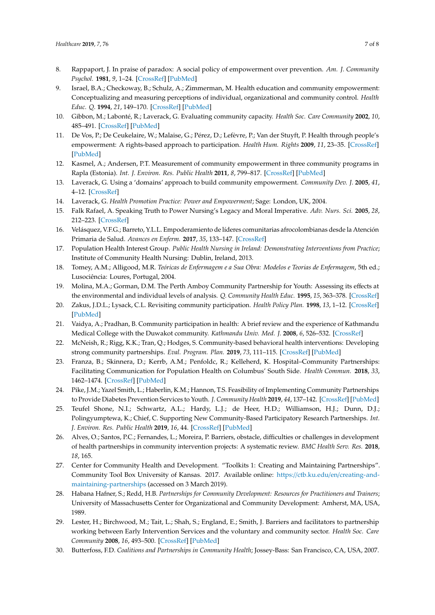- <span id="page-6-0"></span>8. Rappaport, J. In praise of paradox: A social policy of empowerment over prevention. *Am. J. Community Psychol.* **1981**, *9*, 1–24. [\[CrossRef\]](http://dx.doi.org/10.1007/BF00896357) [\[PubMed\]](http://www.ncbi.nlm.nih.gov/pubmed/7223726)
- 9. Israel, B.A.; Checkoway, B.; Schulz, A.; Zimmerman, M. Health education and community empowerment: Conceptualizing and measuring perceptions of individual, organizational and community control. *Health Educ. Q.* **1994**, *21*, 149–170. [\[CrossRef\]](http://dx.doi.org/10.1177/109019819402100203) [\[PubMed\]](http://www.ncbi.nlm.nih.gov/pubmed/8021145)
- 10. Gibbon, M.; Labonté, R.; Laverack, G. Evaluating community capacity. *Health Soc. Care Community* **2002**, *10*, 485–491. [\[CrossRef\]](http://dx.doi.org/10.1046/j.1365-2524.2002.00388.x) [\[PubMed\]](http://www.ncbi.nlm.nih.gov/pubmed/12485136)
- 11. De Vos, P.; De Ceukelaire, W.; Malaise, G.; Pérez, D.; Lefèvre, P.; Van der Stuyft, P. Health through people's empowerment: A rights-based approach to participation. *Health Hum. Rights* **2009**, *11*, 23–35. [\[CrossRef\]](http://dx.doi.org/10.2307/40285215) [\[PubMed\]](http://www.ncbi.nlm.nih.gov/pubmed/20845848)
- 12. Kasmel, A.; Andersen, P.T. Measurement of community empowerment in three community programs in Rapla (Estonia). *Int. J. Environ. Res. Public Health* **2011**, *8*, 799–817. [\[CrossRef\]](http://dx.doi.org/10.3390/ijerph8030799) [\[PubMed\]](http://www.ncbi.nlm.nih.gov/pubmed/21556179)
- <span id="page-6-1"></span>13. Laverack, G. Using a 'domains' approach to build community empowerment. *Community Dev. J.* **2005**, *41*, 4–12. [\[CrossRef\]](http://dx.doi.org/10.1093/cdj/bsi038)
- <span id="page-6-2"></span>14. Laverack, G. *Health Promotion Practice: Power and Empowerment*; Sage: London, UK, 2004.
- <span id="page-6-3"></span>15. Falk Rafael, A. Speaking Truth to Power Nursing's Legacy and Moral Imperative. *Adv. Nurs. Sci.* **2005**, *28*, 212–223. [\[CrossRef\]](http://dx.doi.org/10.1097/00012272-200507000-00004)
- <span id="page-6-4"></span>16. Velásquez, V.F.G.; Barreto, Y.L.L. Empoderamiento de líderes comunitarias afrocolombianas desde la Atención Primaria de Salud. *Avances en Enferm.* **2017**, *35*, 133–147. [\[CrossRef\]](http://dx.doi.org/10.15446/av.enferm.v35n2.54986)
- <span id="page-6-5"></span>17. Population Health Interest Group. *Public Health Nursing in Ireland: Demonstrating Interventions from Practice*; Institute of Community Health Nursing: Dublin, Ireland, 2013.
- <span id="page-6-6"></span>18. Tomey, A.M.; Alligood, M.R. *Teóricas de Enfermagem e a Sua Obra: Modelos e Teorias de Enfermagem*, 5th ed.; Lusociência: Loures, Portugal, 2004.
- <span id="page-6-7"></span>19. Molina, M.A.; Gorman, D.M. The Perth Amboy Community Partnership for Youth: Assessing its effects at the environmental and individual levels of analysis. *Q. Community Health Educ.* **1995**, *15*, 363–378. [\[CrossRef\]](http://dx.doi.org/10.2190/KJ04-B8CY-PXF4-RPGR)
- 20. Zakus, J.D.L.; Lysack, C.L. Revisiting community participation. *Health Policy Plan.* **1998**, *13*, 1–12. [\[CrossRef\]](http://dx.doi.org/10.1093/heapol/13.1.1) [\[PubMed\]](http://www.ncbi.nlm.nih.gov/pubmed/10178181)
- 21. Vaidya, A.; Pradhan, B. Community participation in health: A brief review and the experience of Kathmandu Medical College with the Duwakot community. *Kathmandu Univ. Med. J.* **2008**, *6*, 526–532. [\[CrossRef\]](http://dx.doi.org/10.3126/kumj.v6i4.1750)
- <span id="page-6-8"></span>22. McNeish, R.; Rigg, K.K.; Tran, Q.; Hodges, S. Community-based behavioral health interventions: Developing strong community partnerships. *Eval. Program. Plan.* **2019**, *73*, 111–115. [\[CrossRef\]](http://dx.doi.org/10.1016/j.evalprogplan.2018.12.005) [\[PubMed\]](http://www.ncbi.nlm.nih.gov/pubmed/30580000)
- <span id="page-6-9"></span>23. Franza, B.; Skinnera, D.; Kerrb, A.M.; Penfoldc, R.; Kelleherd, K. Hospital–Community Partnerships: Facilitating Communication for Population Health on Columbus' South Side. *Health Commun.* **2018**, *33*, 1462–1474. [\[CrossRef\]](http://dx.doi.org/10.1080/10410236.2017.1359033) [\[PubMed\]](http://www.ncbi.nlm.nih.gov/pubmed/28850263)
- <span id="page-6-10"></span>24. Pike, J.M.; Yazel Smith, L.; Haberlin, K.M.; Hannon, T.S. Feasibility of Implementing Community Partnerships to Provide Diabetes Prevention Services to Youth. *J. Community Health* **2019**, *44*, 137–142. [\[CrossRef\]](http://dx.doi.org/10.1007/s10900-018-0563-4) [\[PubMed\]](http://www.ncbi.nlm.nih.gov/pubmed/30094724)
- <span id="page-6-11"></span>25. Teufel Shone, N.I.; Schwartz, A.L.; Hardy, L.J.; de Heer, H.D.; Williamson, H.J.; Dunn, D.J.; Polingyumptewa, K.; Chief, C. Supporting New Community-Based Participatory Research Partnerships. *Int. J. Environ. Res. Public Health* **2019**, *16*, 44. [\[CrossRef\]](http://dx.doi.org/10.3390/ijerph16010044) [\[PubMed\]](http://www.ncbi.nlm.nih.gov/pubmed/30585213)
- <span id="page-6-12"></span>26. Alves, O.; Santos, P.C.; Fernandes, L.; Moreira, P. Barriers, obstacle, difficulties or challenges in development of health partnerships in community intervention projects: A systematic review. *BMC Health Serv. Res.* **2018**, *18*, 165.
- <span id="page-6-13"></span>27. Center for Community Health and Development. "Toolkits 1: Creating and Maintaining Partnerships". Community Tool Box University of Kansas. 2017. Available online: https://ctb.ku.edu/en/[creating-and](https://ctb.ku.edu/en/creating-and-maintaining-partnerships)[maintaining-partnerships](https://ctb.ku.edu/en/creating-and-maintaining-partnerships) (accessed on 3 March 2019).
- <span id="page-6-14"></span>28. Habana Hafner, S.; Redd, H.B. *Partnerships for Community Development: Resources for Practitioners and Trainers*; University of Massachusetts Center for Organizational and Community Development: Amherst, MA, USA, 1989.
- <span id="page-6-15"></span>29. Lester, H.; Birchwood, M.; Tait, L.; Shah, S.; England, E.; Smith, J. Barriers and facilitators to partnership working between Early Intervention Services and the voluntary and community sector. *Health Soc. Care Community* **2008**, *16*, 493–500. [\[CrossRef\]](http://dx.doi.org/10.1111/j.1365-2524.2008.00760.x) [\[PubMed\]](http://www.ncbi.nlm.nih.gov/pubmed/18328058)
- 30. Butterfoss, F.D. *Coalitions and Partnerships in Community Health*; Jossey-Bass: San Francisco, CA, USA, 2007.